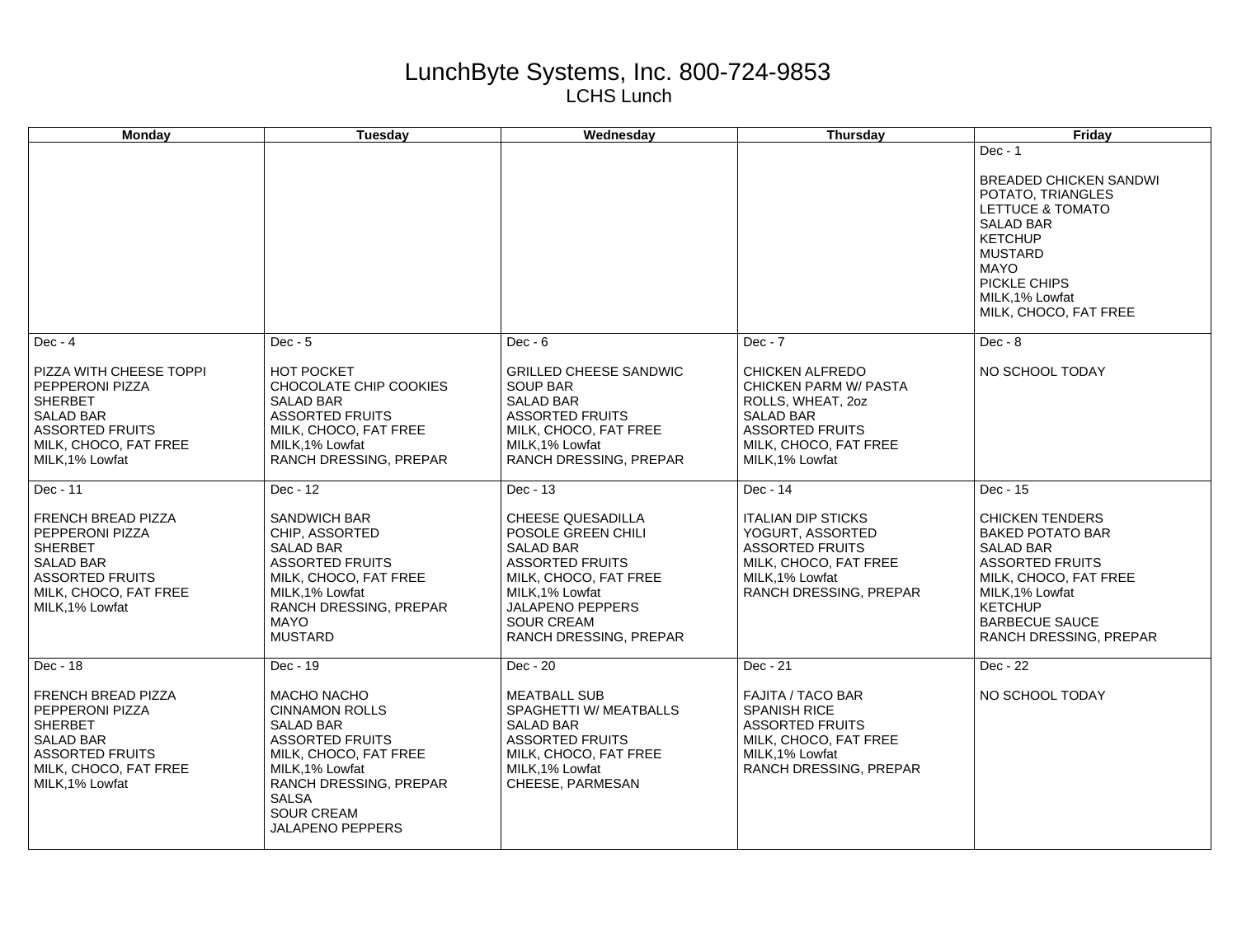## LunchByte Systems, Inc. 800-724-9853 LCHS Lunch

| Monday                                                                                                                                                   | Tuesday                                                                                                                                                                                                                         | Wednesday                                                                                                                                                                                                   | Thursday                                                                                                                                                | Friday                                                                                                                                                                                                           |
|----------------------------------------------------------------------------------------------------------------------------------------------------------|---------------------------------------------------------------------------------------------------------------------------------------------------------------------------------------------------------------------------------|-------------------------------------------------------------------------------------------------------------------------------------------------------------------------------------------------------------|---------------------------------------------------------------------------------------------------------------------------------------------------------|------------------------------------------------------------------------------------------------------------------------------------------------------------------------------------------------------------------|
|                                                                                                                                                          |                                                                                                                                                                                                                                 |                                                                                                                                                                                                             |                                                                                                                                                         | $Dec - 1$<br><b>BREADED CHICKEN SANDWI</b><br>POTATO, TRIANGLES<br>LETTUCE & TOMATO<br><b>SALAD BAR</b><br><b>KETCHUP</b><br><b>MUSTARD</b><br>MAYO<br>PICKLE CHIPS<br>MILK, 1% Lowfat<br>MILK, CHOCO, FAT FREE  |
| Dec - 4                                                                                                                                                  | $Dec - 5$                                                                                                                                                                                                                       | $Dec - 6$                                                                                                                                                                                                   | $Dec - 7$                                                                                                                                               | $Dec - 8$                                                                                                                                                                                                        |
| PIZZA WITH CHEESE TOPPI<br>PEPPERONI PIZZA<br><b>SHERBET</b><br><b>SALAD BAR</b><br><b>ASSORTED FRUITS</b><br>MILK, CHOCO, FAT FREE<br>MILK, 1% Lowfat   | <b>HOT POCKET</b><br>CHOCOLATE CHIP COOKIES<br><b>SALAD BAR</b><br><b>ASSORTED FRUITS</b><br>MILK, CHOCO, FAT FREE<br>MILK, 1% Lowfat<br>RANCH DRESSING, PREPAR                                                                 | <b>GRILLED CHEESE SANDWIC</b><br><b>SOUP BAR</b><br><b>SALAD BAR</b><br><b>ASSORTED FRUITS</b><br>MILK, CHOCO, FAT FREE<br>MILK, 1% Lowfat<br>RANCH DRESSING, PREPAR                                        | CHICKEN ALFREDO<br>CHICKEN PARM W/ PASTA<br>ROLLS, WHEAT, 20Z<br><b>SALAD BAR</b><br><b>ASSORTED FRUITS</b><br>MILK, CHOCO, FAT FREE<br>MILK, 1% Lowfat | NO SCHOOL TODAY                                                                                                                                                                                                  |
| Dec - 11                                                                                                                                                 | Dec - 12                                                                                                                                                                                                                        | Dec - 13                                                                                                                                                                                                    | Dec - 14                                                                                                                                                | Dec - 15                                                                                                                                                                                                         |
| <b>FRENCH BREAD PIZZA</b><br>PEPPERONI PIZZA<br><b>SHERBET</b><br><b>SALAD BAR</b><br><b>ASSORTED FRUITS</b><br>MILK, CHOCO, FAT FREE<br>MILK, 1% Lowfat | <b>SANDWICH BAR</b><br>CHIP, ASSORTED<br><b>SALAD BAR</b><br><b>ASSORTED FRUITS</b><br>MILK, CHOCO, FAT FREE<br>MILK, 1% Lowfat<br>RANCH DRESSING, PREPAR<br><b>MAYO</b><br><b>MUSTARD</b>                                      | CHEESE QUESADILLA<br>POSOLE GREEN CHILI<br><b>SALAD BAR</b><br><b>ASSORTED FRUITS</b><br>MILK, CHOCO, FAT FREE<br>MILK, 1% Lowfat<br><b>JALAPENO PEPPERS</b><br><b>SOUR CREAM</b><br>RANCH DRESSING, PREPAR | <b>ITALIAN DIP STICKS</b><br>YOGURT, ASSORTED<br><b>ASSORTED FRUITS</b><br>MILK, CHOCO, FAT FREE<br>MILK, 1% Lowfat<br>RANCH DRESSING, PREPAR           | <b>CHICKEN TENDERS</b><br><b>BAKED POTATO BAR</b><br><b>SALAD BAR</b><br><b>ASSORTED FRUITS</b><br>MILK, CHOCO, FAT FREE<br>MILK, 1% Lowfat<br><b>KETCHUP</b><br><b>BARBECUE SAUCE</b><br>RANCH DRESSING, PREPAR |
| Dec - 18                                                                                                                                                 | Dec - 19                                                                                                                                                                                                                        | Dec - 20                                                                                                                                                                                                    | Dec - 21                                                                                                                                                | Dec - 22                                                                                                                                                                                                         |
| <b>FRENCH BREAD PIZZA</b><br>PEPPERONI PIZZA<br><b>SHERBET</b><br><b>SALAD BAR</b><br><b>ASSORTED FRUITS</b><br>MILK, CHOCO, FAT FREE<br>MILK, 1% Lowfat | <b>MACHO NACHO</b><br><b>CINNAMON ROLLS</b><br><b>SALAD BAR</b><br><b>ASSORTED FRUITS</b><br>MILK, CHOCO, FAT FREE<br>MILK, 1% Lowfat<br>RANCH DRESSING, PREPAR<br><b>SALSA</b><br><b>SOUR CREAM</b><br><b>JALAPENO PEPPERS</b> | <b>MEATBALL SUB</b><br>SPAGHETTI W/ MEATBALLS<br><b>SALAD BAR</b><br><b>ASSORTED FRUITS</b><br>MILK, CHOCO, FAT FREE<br>MILK, 1% Lowfat<br>CHEESE, PARMESAN                                                 | <b>FAJITA / TACO BAR</b><br><b>SPANISH RICE</b><br><b>ASSORTED FRUITS</b><br>MILK, CHOCO, FAT FREE<br>MILK, 1% Lowfat<br>RANCH DRESSING, PREPAR         | NO SCHOOL TODAY                                                                                                                                                                                                  |